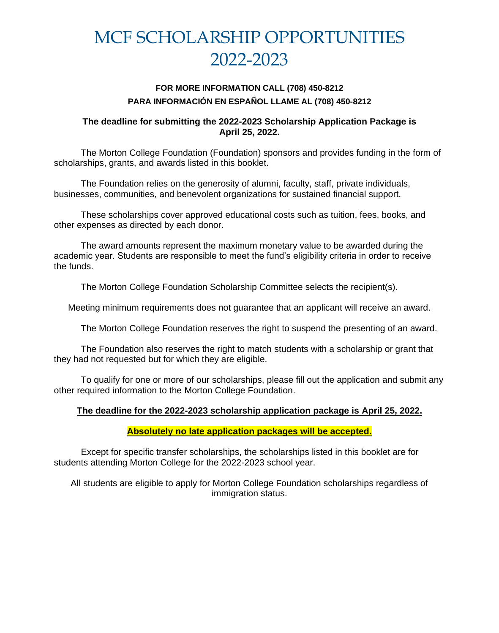# MCF SCHOLARSHIP OPPORTUNITIES 2022-2023

# **FOR MORE INFORMATION CALL (708) 450-8212 PARA INFORMACIÓN EN ESPAÑOL LLAME AL (708) 450-8212**

### **The deadline for submitting the 2022-2023 Scholarship Application Package is April 25, 2022.**

The Morton College Foundation (Foundation) sponsors and provides funding in the form of scholarships, grants, and awards listed in this booklet.

The Foundation relies on the generosity of alumni, faculty, staff, private individuals, businesses, communities, and benevolent organizations for sustained financial support.

These scholarships cover approved educational costs such as tuition, fees, books, and other expenses as directed by each donor.

The award amounts represent the maximum monetary value to be awarded during the academic year. Students are responsible to meet the fund's eligibility criteria in order to receive the funds.

The Morton College Foundation Scholarship Committee selects the recipient(s).

### Meeting minimum requirements does not guarantee that an applicant will receive an award.

The Morton College Foundation reserves the right to suspend the presenting of an award.

The Foundation also reserves the right to match students with a scholarship or grant that they had not requested but for which they are eligible.

To qualify for one or more of our scholarships, please fill out the application and submit any other required information to the Morton College Foundation.

# **The deadline for the 2022-2023 scholarship application package is April 25, 2022.**

# **Absolutely no late application packages will be accepted.**

Except for specific transfer scholarships, the scholarships listed in this booklet are for students attending Morton College for the 2022-2023 school year.

All students are eligible to apply for Morton College Foundation scholarships regardless of immigration status.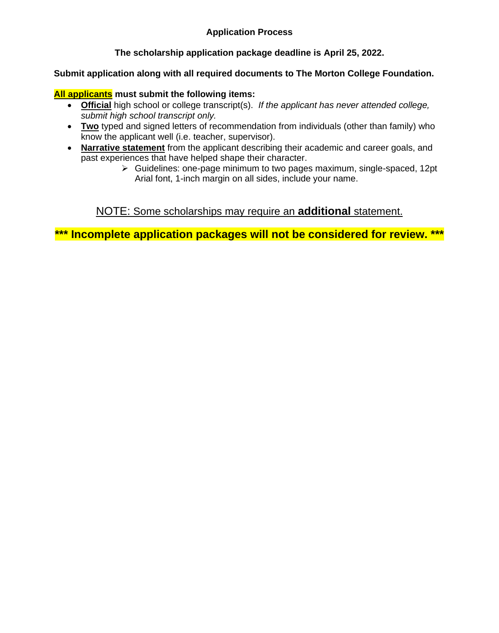# **Application Process**

# **The scholarship application package deadline is April 25, 2022.**

# **Submit application along with all required documents to The Morton College Foundation.**

#### **All applicants must submit the following items:**

- **Official** high school or college transcript(s). *If the applicant has never attended college, submit high school transcript only.*
- **Two** typed and signed letters of recommendation from individuals (other than family) who know the applicant well (i.e. teacher, supervisor).
- **Narrative statement** from the applicant describing their academic and career goals, and past experiences that have helped shape their character.
	- ➢ Guidelines: one-page minimum to two pages maximum, single-spaced, 12pt Arial font, 1-inch margin on all sides, include your name.

# NOTE: Some scholarships may require an **additional** statement.

**\*\*\* Incomplete application packages will not be considered for review. \*\*\***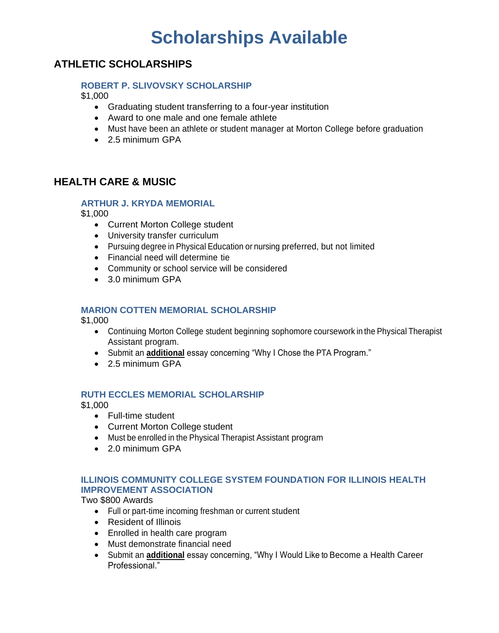# **Scholarships Available**

# **ATHLETIC SCHOLARSHIPS**

### **ROBERT P. SLIVOVSKY SCHOLARSHIP**

\$1,000

- Graduating student transferring to a four-year institution
- Award to one male and one female athlete
- Must have been an athlete or student manager at Morton College before graduation
- 2.5 minimum GPA

# **HEALTH CARE & MUSIC**

### **ARTHUR J. KRYDA MEMORIAL**

\$1,000

- Current Morton College student
- University transfer curriculum
- Pursuing degree in Physical Education or nursing preferred, but not limited
- Financial need will determine tie
- Community or school service will be considered
- 3.0 minimum GPA

# **MARION COTTEN MEMORIAL SCHOLARSHIP**

\$1,000

- Continuing Morton College student beginning sophomore coursework in the Physical Therapist Assistant program.
- Submit an **additional** essay concerning "Why I Chose the PTA Program."
- 2.5 minimum GPA

# **RUTH ECCLES MEMORIAL SCHOLARSHIP**

\$1,000

- Full-time student
- Current Morton College student
- Must be enrolled in the Physical Therapist Assistant program
- 2.0 minimum GPA

# **ILLINOIS COMMUNITY COLLEGE SYSTEM FOUNDATION FOR ILLINOIS HEALTH IMPROVEMENT ASSOCIATION**

Two \$800 Awards

- Full or part-time incoming freshman or current student
- Resident of Illinois
- Enrolled in health care program
- Must demonstrate financial need
- Submit an **additional** essay concerning, "Why I Would Like to Become a Health Career Professional."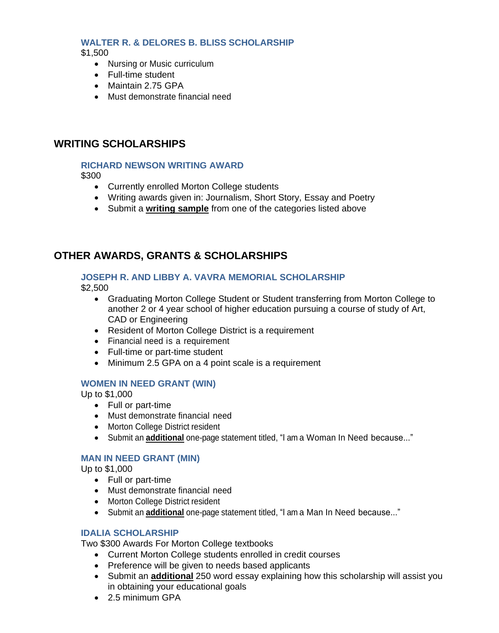#### **WALTER R. & DELORES B. BLISS SCHOLARSHIP** \$1,500

- Nursing or Music curriculum
- Full-time student
- Maintain 2.75 GPA
- Must demonstrate financial need

# **WRITING SCHOLARSHIPS**

#### **RICHARD NEWSON WRITING AWARD**

\$300

- Currently enrolled Morton College students
- Writing awards given in: Journalism, Short Story, Essay and Poetry
- Submit a **writing sample** from one of the categories listed above

# **OTHER AWARDS, GRANTS & SCHOLARSHIPS**

#### **JOSEPH R. AND LIBBY A. VAVRA MEMORIAL SCHOLARSHIP**

\$2,500

- Graduating Morton College Student or Student transferring from Morton College to another 2 or 4 year school of higher education pursuing a course of study of Art, CAD or Engineering
- Resident of Morton College District is a requirement
- Financial need is a requirement
- Full-time or part-time student
- Minimum 2.5 GPA on a 4 point scale is a requirement

#### **WOMEN IN NEED GRANT (WIN)**

Up to \$1,000

- Full or part-time
- Must demonstrate financial need
- Morton College District resident
- Submit an **additional** one-page statement titled, "I am a Woman In Need because..."

# **MAN IN NEED GRANT (MIN)**

Up to \$1,000

- Full or part-time
- Must demonstrate financial need
- Morton College District resident
- Submit an **additional** one-page statement titled, "I am a Man In Need because..."

#### **IDALIA SCHOLARSHIP**

Two \$300 Awards For Morton College textbooks

- Current Morton College students enrolled in credit courses
- Preference will be given to needs based applicants
- Submit an **additional** 250 word essay explaining how this scholarship will assist you in obtaining your educational goals
- 2.5 minimum GPA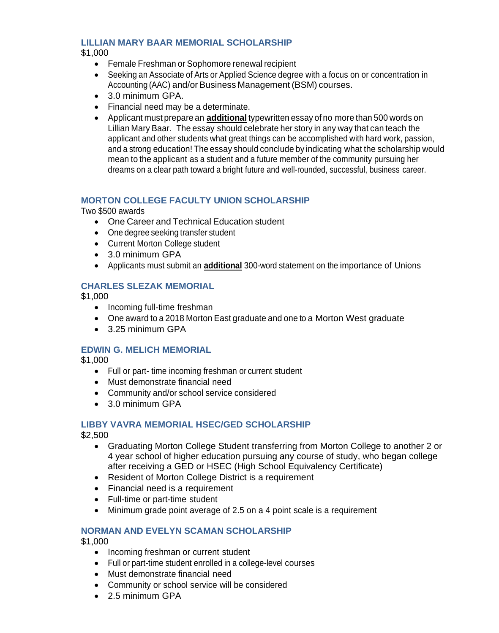# **LILLIAN MARY BAAR MEMORIAL SCHOLARSHIP**

#### \$1,000

- Female Freshman or Sophomore renewal recipient
- Seeking an Associate of Arts or Applied Science degree with a focus on or concentration in Accounting (AAC) and/or Business Management (BSM) courses.
- 3.0 minimum GPA.
- Financial need may be a determinate.
- Applicant must prepare an **additional** typewritten essay of no more than 500 words on Lillian Mary Baar. The essay should celebrate her story in any way that can teach the applicant and other students what great things can be accomplished with hard work, passion, and a strong education! The essay should conclude by indicating what the scholarship would mean to the applicant as a student and a future member of the community pursuing her dreams on a clear path toward a bright future and well-rounded, successful, business career.

### **MORTON COLLEGE FACULTY UNION SCHOLARSHIP**

Two \$500 awards

- One Career and Technical Education student
- One degree seeking transfer student
- Current Morton College student
- 3.0 minimum GPA
- Applicants must submit an **additional** 300-word statement on the importance of Unions

# **CHARLES SLEZAK MEMORIAL**

\$1,000

- Incoming full-time freshman
- One award to a 2018 Morton East graduate and one to a Morton West graduate
- 3.25 minimum GPA

# **EDWIN G. MELICH MEMORIAL**

\$1,000

- Full or part- time incoming freshman or current student
- Must demonstrate financial need
- Community and/or school service considered
- 3.0 minimum GPA

# **LIBBY VAVRA MEMORIAL HSEC/GED SCHOLARSHIP**

\$2,500

- Graduating Morton College Student transferring from Morton College to another 2 or 4 year school of higher education pursuing any course of study, who began college after receiving a GED or HSEC (High School Equivalency Certificate)
- Resident of Morton College District is a requirement
- Financial need is a requirement
- Full-time or part-time student
- Minimum grade point average of 2.5 on a 4 point scale is a requirement

# **NORMAN AND EVELYN SCAMAN SCHOLARSHIP**

\$1,000

- Incoming freshman or current student
- Full or part-time student enrolled in a college-level courses
- Must demonstrate financial need
- Community or school service will be considered
- 2.5 minimum GPA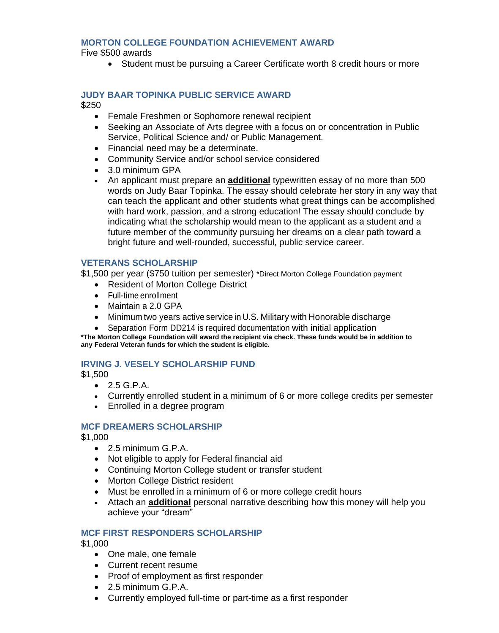#### **MORTON COLLEGE FOUNDATION ACHIEVEMENT AWARD**

Five \$500 awards

• Student must be pursuing a Career Certificate worth 8 credit hours or more

#### **JUDY BAAR TOPINKA PUBLIC SERVICE AWARD** \$250

- Female Freshmen or Sophomore renewal recipient
- Seeking an Associate of Arts degree with a focus on or concentration in Public Service, Political Science and/ or Public Management.
- Financial need may be a determinate.
- Community Service and/or school service considered
- 3.0 minimum GPA
- An applicant must prepare an **additional** typewritten essay of no more than 500 words on Judy Baar Topinka. The essay should celebrate her story in any way that can teach the applicant and other students what great things can be accomplished with hard work, passion, and a strong education! The essay should conclude by indicating what the scholarship would mean to the applicant as a student and a future member of the community pursuing her dreams on a clear path toward a bright future and well-rounded, successful, public service career.

### **VETERANS SCHOLARSHIP**

\$1,500 per year (\$750 tuition per semester) \*Direct Morton College Foundation payment

- Resident of Morton College District
- Full-time enrollment
- Maintain a 2.0 GPA
- Minimum two years active service in U.S. Military with Honorable discharge
- Separation Form DD214 is required documentation with initial application

**\*The Morton College Foundation will award the recipient via check. These funds would be in addition to any Federal Veteran funds for which the student is eligible.**

#### **IRVING J. VESELY SCHOLARSHIP FUND**

\$1,500

- 2.5 G.P.A.
- Currently enrolled student in a minimum of 6 or more college credits per semester
- Enrolled in a degree program

#### **MCF DREAMERS SCHOLARSHIP**

\$1,000

- 2.5 minimum G.P.A.
- Not eligible to apply for Federal financial aid
- Continuing Morton College student or transfer student
- Morton College District resident
- Must be enrolled in a minimum of 6 or more college credit hours
- Attach an **additional** personal narrative describing how this money will help you achieve your "dream"

#### **MCF FIRST RESPONDERS SCHOLARSHIP**

\$1,000

- One male, one female
- Current recent resume
- Proof of employment as first responder
- 2.5 minimum G.P.A.
- Currently employed full-time or part-time as a first responder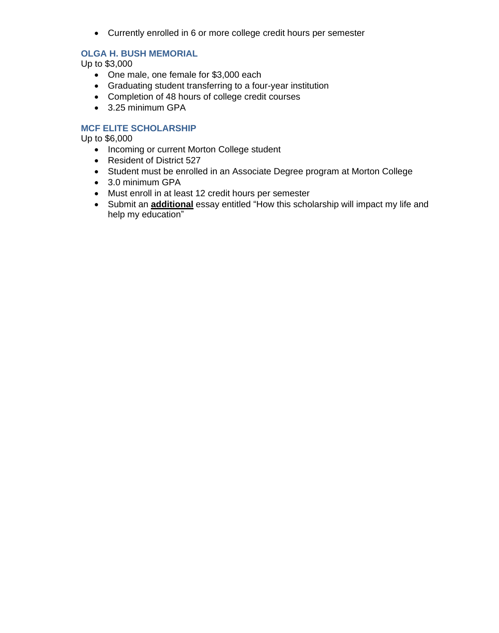• Currently enrolled in 6 or more college credit hours per semester

# **OLGA H. BUSH MEMORIAL**

Up to \$3,000

- One male, one female for \$3,000 each
- Graduating student transferring to a four-year institution
- Completion of 48 hours of college credit courses
- 3.25 minimum GPA

# **MCF ELITE SCHOLARSHIP**

Up to \$6,000

- Incoming or current Morton College student
- Resident of District 527
- Student must be enrolled in an Associate Degree program at Morton College
- 3.0 minimum GPA
- Must enroll in at least 12 credit hours per semester
- Submit an **additional** essay entitled "How this scholarship will impact my life and help my education"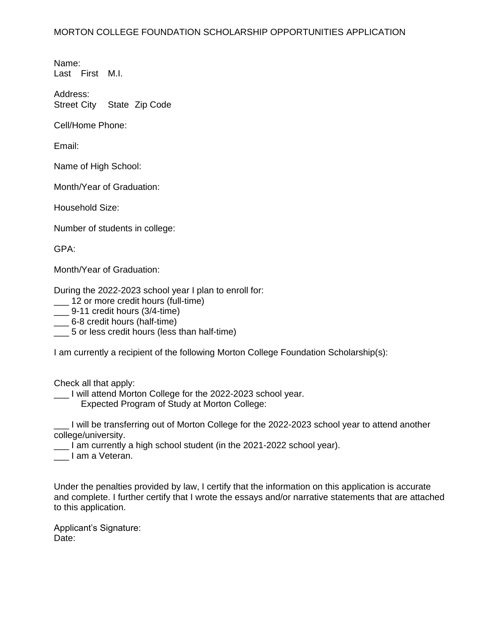Name: Last First M.I.

Address: Street City State Zip Code

Cell/Home Phone:

Email:

Name of High School:

Month/Year of Graduation:

Household Size:

Number of students in college:

GPA:

Month/Year of Graduation:

During the 2022-2023 school year I plan to enroll for:

\_\_\_ 12 or more credit hours (full-time)

\_\_\_ 9-11 credit hours (3/4-time)

\_\_\_ 6-8 credit hours (half-time)

\_\_\_ 5 or less credit hours (less than half-time)

I am currently a recipient of the following Morton College Foundation Scholarship(s):

Check all that apply:

I will attend Morton College for the 2022-2023 school year.

Expected Program of Study at Morton College:

\_\_\_ I will be transferring out of Morton College for the 2022-2023 school year to attend another college/university.

\_\_\_ I am currently a high school student (in the 2021-2022 school year).

\_\_\_ I am a Veteran.

Under the penalties provided by law, I certify that the information on this application is accurate and complete. I further certify that I wrote the essays and/or narrative statements that are attached to this application.

Applicant's Signature: Date: